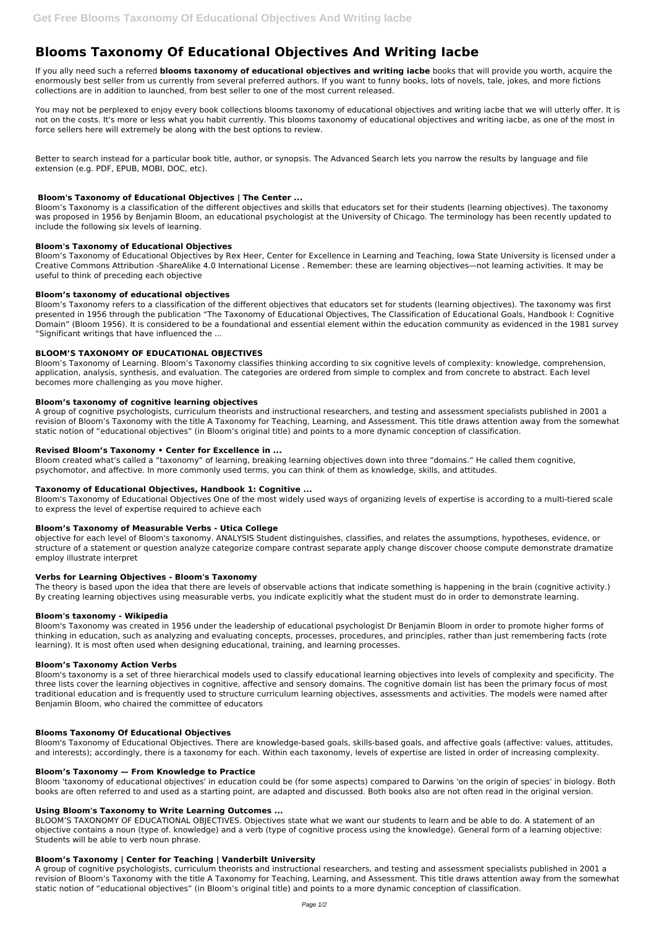# **Blooms Taxonomy Of Educational Objectives And Writing Iacbe**

If you ally need such a referred **blooms taxonomy of educational objectives and writing iacbe** books that will provide you worth, acquire the enormously best seller from us currently from several preferred authors. If you want to funny books, lots of novels, tale, jokes, and more fictions collections are in addition to launched, from best seller to one of the most current released.

You may not be perplexed to enjoy every book collections blooms taxonomy of educational objectives and writing iacbe that we will utterly offer. It is not on the costs. It's more or less what you habit currently. This blooms taxonomy of educational objectives and writing iacbe, as one of the most in force sellers here will extremely be along with the best options to review.

Better to search instead for a particular book title, author, or synopsis. The Advanced Search lets you narrow the results by language and file extension (e.g. PDF, EPUB, MOBI, DOC, etc).

#### **Bloom's Taxonomy of Educational Objectives | The Center ...**

Bloom's Taxonomy is a classification of the different objectives and skills that educators set for their students (learning objectives). The taxonomy was proposed in 1956 by Benjamin Bloom, an educational psychologist at the University of Chicago. The terminology has been recently updated to include the following six levels of learning.

#### **Bloom's Taxonomy of Educational Objectives**

Bloom's Taxonomy of Educational Objectives by Rex Heer, Center for Excellence in Learning and Teaching, Iowa State University is licensed under a Creative Commons Attribution -ShareAlike 4.0 International License . Remember: these are learning objectives—not learning activities. It may be useful to think of preceding each objective

#### **Bloom's taxonomy of educational objectives**

Bloom's Taxonomy refers to a classification of the different objectives that educators set for students (learning objectives). The taxonomy was first presented in 1956 through the publication "The Taxonomy of Educational Objectives, The Classification of Educational Goals, Handbook I: Cognitive Domain" (Bloom 1956). It is considered to be a foundational and essential element within the education community as evidenced in the 1981 survey "Significant writings that have influenced the ...

## **BLOOM'S TAXONOMY OF EDUCATIONAL OBJECTIVES**

Bloom's Taxonomy of Learning. Bloom's Taxonomy classifies thinking according to six cognitive levels of complexity: knowledge, comprehension, application, analysis, synthesis, and evaluation. The categories are ordered from simple to complex and from concrete to abstract. Each level becomes more challenging as you move higher.

#### **Bloom's taxonomy of cognitive learning objectives**

A group of cognitive psychologists, curriculum theorists and instructional researchers, and testing and assessment specialists published in 2001 a revision of Bloom's Taxonomy with the title A Taxonomy for Teaching, Learning, and Assessment. This title draws attention away from the somewhat static notion of "educational objectives" (in Bloom's original title) and points to a more dynamic conception of classification.

#### **Revised Bloom's Taxonomy • Center for Excellence in ...**

Bloom created what's called a "taxonomy" of learning, breaking learning objectives down into three "domains." He called them cognitive, psychomotor, and affective. In more commonly used terms, you can think of them as knowledge, skills, and attitudes.

#### **Taxonomy of Educational Objectives, Handbook 1: Cognitive ...**

Bloom's Taxonomy of Educational Objectives One of the most widely used ways of organizing levels of expertise is according to a multi-tiered scale to express the level of expertise required to achieve each

#### **Bloom's Taxonomy of Measurable Verbs - Utica College**

objective for each level of Bloom's taxonomy. ANALYSIS Student distinguishes, classifies, and relates the assumptions, hypotheses, evidence, or structure of a statement or question analyze categorize compare contrast separate apply change discover choose compute demonstrate dramatize employ illustrate interpret

#### **Verbs for Learning Objectives - Bloom's Taxonomy**

The theory is based upon the idea that there are levels of observable actions that indicate something is happening in the brain (cognitive activity.) By creating learning objectives using measurable verbs, you indicate explicitly what the student must do in order to demonstrate learning.

#### **Bloom's taxonomy - Wikipedia**

Bloom's Taxonomy was created in 1956 under the leadership of educational psychologist Dr Benjamin Bloom in order to promote higher forms of thinking in education, such as analyzing and evaluating concepts, processes, procedures, and principles, rather than just remembering facts (rote learning). It is most often used when designing educational, training, and learning processes.

#### **Bloom's Taxonomy Action Verbs**

Bloom's taxonomy is a set of three hierarchical models used to classify educational learning objectives into levels of complexity and specificity. The three lists cover the learning objectives in cognitive, affective and sensory domains. The cognitive domain list has been the primary focus of most traditional education and is frequently used to structure curriculum learning objectives, assessments and activities. The models were named after

#### **Blooms Taxonomy Of Educational Objectives**

Bloom's Taxonomy of Educational Objectives. There are knowledge-based goals, skills-based goals, and affective goals (affective: values, attitudes, and interests); accordingly, there is a taxonomy for each. Within each taxonomy, levels of expertise are listed in order of increasing complexity.

#### **Bloom's Taxonomy — From Knowledge to Practice**

Bloom 'taxonomy of educational objectives' in education could be (for some aspects) compared to Darwins 'on the origin of species' in biology. Both books are often referred to and used as a starting point, are adapted and discussed. Both books also are not often read in the original version.

#### **Using Bloom's Taxonomy to Write Learning Outcomes ...**

BLOOM'S TAXONOMY OF EDUCATIONAL OBJECTIVES. Objectives state what we want our students to learn and be able to do. A statement of an objective contains a noun (type of. knowledge) and a verb (type of cognitive process using the knowledge). General form of a learning objective: Students will be able to verb noun phrase.

### **Bloom's Taxonomy | Center for Teaching | Vanderbilt University**

A group of cognitive psychologists, curriculum theorists and instructional researchers, and testing and assessment specialists published in 2001 a revision of Bloom's Taxonomy with the title A Taxonomy for Teaching, Learning, and Assessment. This title draws attention away from the somewhat static notion of "educational objectives" (in Bloom's original title) and points to a more dynamic conception of classification.